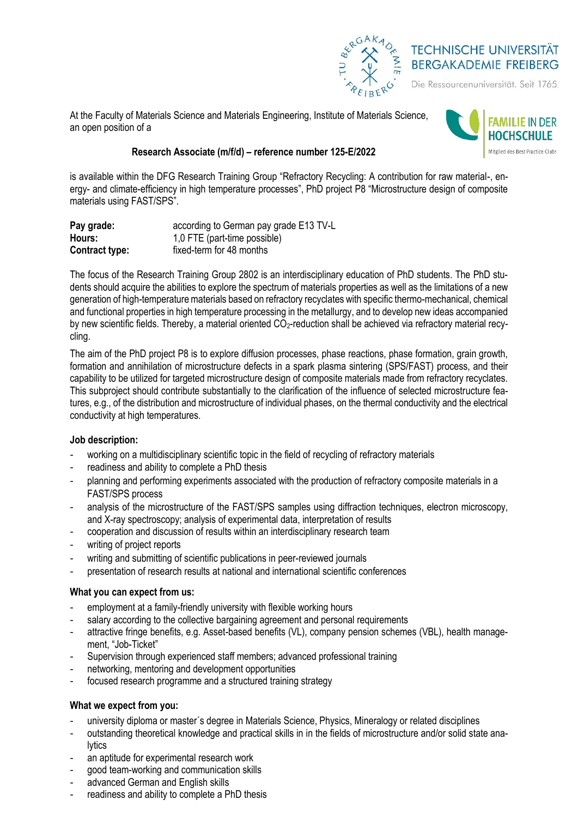

# **TECHNISCHE UNIVERSITÄT BERGAKADEMIE FREIBERG**

Die Ressourcenuniversität. Seit 1765.

At the Faculty of Materials Science and Materials Engineering, Institute of Materials Science, an open position of a



## **Research Associate (m/f/d) – reference number 125-E/2022**

is available within the DFG Research Training Group "Refractory Recycling: A contribution for raw material-, energy- and climate-efficiency in high temperature processes", PhD project P8 "Microstructure design of composite materials using FAST/SPS".

| Pay grade:            | according to German pay grade E13 TV-L |
|-----------------------|----------------------------------------|
| Hours:                | 1,0 FTE (part-time possible)           |
| <b>Contract type:</b> | fixed-term for 48 months               |

The focus of the Research Training Group 2802 is an interdisciplinary education of PhD students. The PhD students should acquire the abilities to explore the spectrum of materials properties as well as the limitations of a new generation of high-temperature materials based on refractory recyclates with specific thermo-mechanical, chemical and functional properties in high temperature processing in the metallurgy, and to develop new ideas accompanied by new scientific fields. Thereby, a material oriented  $CO<sub>2</sub>$ -reduction shall be achieved via refractory material recycling.

The aim of the PhD project P8 is to explore diffusion processes, phase reactions, phase formation, grain growth, formation and annihilation of microstructure defects in a spark plasma sintering (SPS/FAST) process, and their capability to be utilized for targeted microstructure design of composite materials made from refractory recyclates. This subproject should contribute substantially to the clarification of the influence of selected microstructure features, e.g., of the distribution and microstructure of individual phases, on the thermal conductivity and the electrical conductivity at high temperatures.

### **Job description:**

- working on a multidisciplinary scientific topic in the field of recycling of refractory materials
- readiness and ability to complete a PhD thesis
- planning and performing experiments associated with the production of refractory composite materials in a FAST/SPS process
- analysis of the microstructure of the FAST/SPS samples using diffraction techniques, electron microscopy, and X-ray spectroscopy; analysis of experimental data, interpretation of results
- cooperation and discussion of results within an interdisciplinary research team
- writing of project reports
- writing and submitting of scientific publications in peer-reviewed journals
- presentation of research results at national and international scientific conferences

### **What you can expect from us:**

- employment at a family-friendly university with flexible working hours
- salary according to the collective bargaining agreement and personal requirements
- attractive fringe benefits, e.g. Asset-based benefits (VL), company pension schemes (VBL), health management, "Job-Ticket"
- Supervision through experienced staff members; advanced professional training
- networking, mentoring and development opportunities
- focused research programme and a structured training strategy

### **What we expect from you:**

- university diploma or master's degree in Materials Science, Physics, Mineralogy or related disciplines
- outstanding theoretical knowledge and practical skills in in the fields of microstructure and/or solid state analytics
- an aptitude for experimental research work
- good team-working and communication skills
- advanced German and English skills
- readiness and ability to complete a PhD thesis